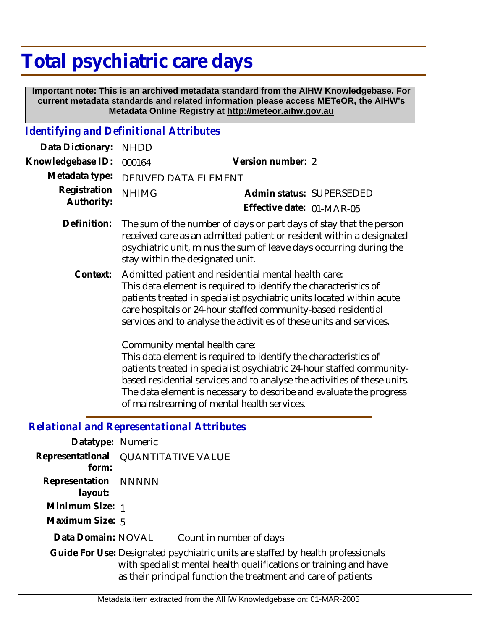# **Total psychiatric care days**

 **Important note: This is an archived metadata standard from the AIHW Knowledgebase. For current metadata standards and related information please access METeOR, the AIHW's Metadata Online Registry at http://meteor.aihw.gov.au**

## *Identifying and Definitional Attributes*

| Data Dictionary:                                                                | <b>NHDD</b>                                                                                                                                                                                                                                                                                                                                                                                                                                                                                                                                                                                                                                                                                                               |                                                       |  |  |
|---------------------------------------------------------------------------------|---------------------------------------------------------------------------------------------------------------------------------------------------------------------------------------------------------------------------------------------------------------------------------------------------------------------------------------------------------------------------------------------------------------------------------------------------------------------------------------------------------------------------------------------------------------------------------------------------------------------------------------------------------------------------------------------------------------------------|-------------------------------------------------------|--|--|
| Knowledgebase ID:                                                               | 000164                                                                                                                                                                                                                                                                                                                                                                                                                                                                                                                                                                                                                                                                                                                    | Version number: 2                                     |  |  |
| Metadata type:                                                                  | DERIVED DATA ELEMENT                                                                                                                                                                                                                                                                                                                                                                                                                                                                                                                                                                                                                                                                                                      |                                                       |  |  |
| Registration<br>Authority:                                                      | <b>NHIMG</b>                                                                                                                                                                                                                                                                                                                                                                                                                                                                                                                                                                                                                                                                                                              | Admin status: SUPERSEDED<br>Effective date: 01-MAR-05 |  |  |
| Definition:                                                                     | The sum of the number of days or part days of stay that the person<br>received care as an admitted patient or resident within a designated<br>psychiatric unit, minus the sum of leave days occurring during the<br>stay within the designated unit.                                                                                                                                                                                                                                                                                                                                                                                                                                                                      |                                                       |  |  |
| Context:                                                                        | Admitted patient and residential mental health care:<br>This data element is required to identify the characteristics of<br>patients treated in specialist psychiatric units located within acute<br>care hospitals or 24-hour staffed community-based residential<br>services and to analyse the activities of these units and services.<br>Community mental health care:<br>This data element is required to identify the characteristics of<br>patients treated in specialist psychiatric 24-hour staffed community-<br>based residential services and to analyse the activities of these units.<br>The data element is necessary to describe and evaluate the progress<br>of mainstreaming of mental health services. |                                                       |  |  |
|                                                                                 | <b>Relational and Representational Attributes</b>                                                                                                                                                                                                                                                                                                                                                                                                                                                                                                                                                                                                                                                                         |                                                       |  |  |
| Datatype: Numeric                                                               |                                                                                                                                                                                                                                                                                                                                                                                                                                                                                                                                                                                                                                                                                                                           |                                                       |  |  |
| Representational<br>form:                                                       | <b>QUANTITATIVE VALUE</b>                                                                                                                                                                                                                                                                                                                                                                                                                                                                                                                                                                                                                                                                                                 |                                                       |  |  |
| Representation<br>layout:                                                       | <b>NNNNN</b>                                                                                                                                                                                                                                                                                                                                                                                                                                                                                                                                                                                                                                                                                                              |                                                       |  |  |
| Minimum Size: 1                                                                 |                                                                                                                                                                                                                                                                                                                                                                                                                                                                                                                                                                                                                                                                                                                           |                                                       |  |  |
| Maximum Size: 5                                                                 |                                                                                                                                                                                                                                                                                                                                                                                                                                                                                                                                                                                                                                                                                                                           |                                                       |  |  |
| Data Domain: NOVAL                                                              |                                                                                                                                                                                                                                                                                                                                                                                                                                                                                                                                                                                                                                                                                                                           | Count in number of days                               |  |  |
| Guide For Use: Designated psychiatric units are staffed by health professionals |                                                                                                                                                                                                                                                                                                                                                                                                                                                                                                                                                                                                                                                                                                                           |                                                       |  |  |

with specialist mental health qualifications or training and have as their principal function the treatment and care of patients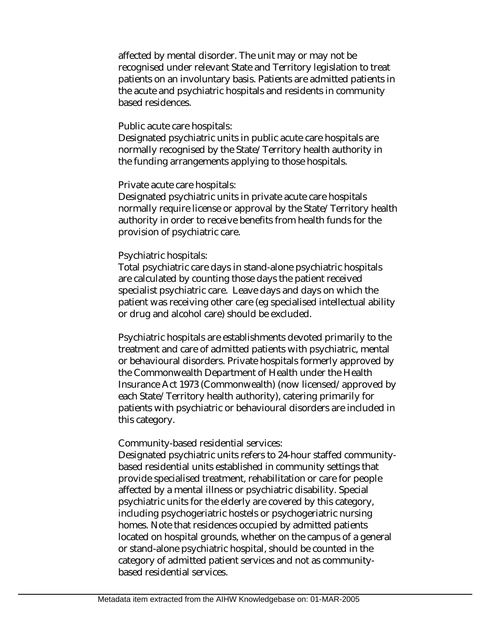affected by mental disorder. The unit may or may not be recognised under relevant State and Territory legislation to treat patients on an involuntary basis. Patients are admitted patients in the acute and psychiatric hospitals and residents in community based residences.

#### Public acute care hospitals:

Designated psychiatric units in public acute care hospitals are normally recognised by the State/Territory health authority in the funding arrangements applying to those hospitals.

#### Private acute care hospitals:

Designated psychiatric units in private acute care hospitals normally require license or approval by the State/Territory health authority in order to receive benefits from health funds for the provision of psychiatric care.

#### Psychiatric hospitals:

Total psychiatric care days in stand-alone psychiatric hospitals are calculated by counting those days the patient received specialist psychiatric care. Leave days and days on which the patient was receiving other care (eg specialised intellectual ability or drug and alcohol care) should be excluded.

Psychiatric hospitals are establishments devoted primarily to the treatment and care of admitted patients with psychiatric, mental or behavioural disorders. Private hospitals formerly approved by the Commonwealth Department of Health under the Health Insurance Act 1973 (Commonwealth) (now licensed/approved by each State/Territory health authority), catering primarily for patients with psychiatric or behavioural disorders are included in this category.

#### Community-based residential services:

Designated psychiatric units refers to 24-hour staffed communitybased residential units established in community settings that provide specialised treatment, rehabilitation or care for people affected by a mental illness or psychiatric disability. Special psychiatric units for the elderly are covered by this category, including psychogeriatric hostels or psychogeriatric nursing homes. Note that residences occupied by admitted patients located on hospital grounds, whether on the campus of a general or stand-alone psychiatric hospital, should be counted in the category of admitted patient services and not as communitybased residential services.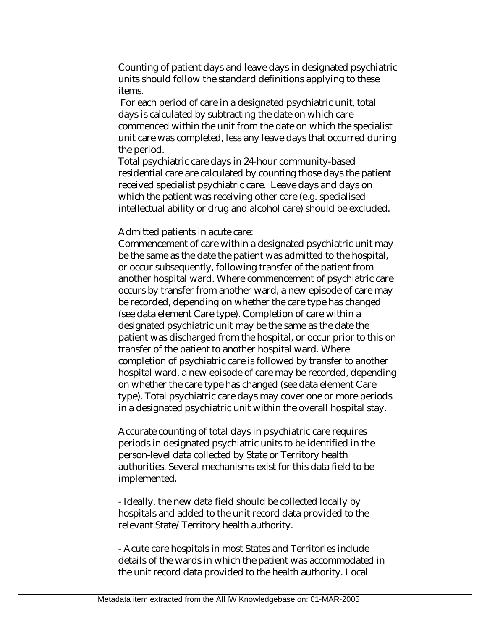Counting of patient days and leave days in designated psychiatric units should follow the standard definitions applying to these items.

 For each period of care in a designated psychiatric unit, total days is calculated by subtracting the date on which care commenced within the unit from the date on which the specialist unit care was completed, less any leave days that occurred during the period.

Total psychiatric care days in 24-hour community-based residential care are calculated by counting those days the patient received specialist psychiatric care. Leave days and days on which the patient was receiving other care (e.g. specialised intellectual ability or drug and alcohol care) should be excluded.

Admitted patients in acute care:

Commencement of care within a designated psychiatric unit may be the same as the date the patient was admitted to the hospital, or occur subsequently, following transfer of the patient from another hospital ward. Where commencement of psychiatric care occurs by transfer from another ward, a new episode of care may be recorded, depending on whether the care type has changed (see data element Care type). Completion of care within a designated psychiatric unit may be the same as the date the patient was discharged from the hospital, or occur prior to this on transfer of the patient to another hospital ward. Where completion of psychiatric care is followed by transfer to another hospital ward, a new episode of care may be recorded, depending on whether the care type has changed (see data element Care type). Total psychiatric care days may cover one or more periods in a designated psychiatric unit within the overall hospital stay.

Accurate counting of total days in psychiatric care requires periods in designated psychiatric units to be identified in the person-level data collected by State or Territory health authorities. Several mechanisms exist for this data field to be implemented.

- Ideally, the new data field should be collected locally by hospitals and added to the unit record data provided to the relevant State/Territory health authority.

- Acute care hospitals in most States and Territories include details of the wards in which the patient was accommodated in the unit record data provided to the health authority. Local